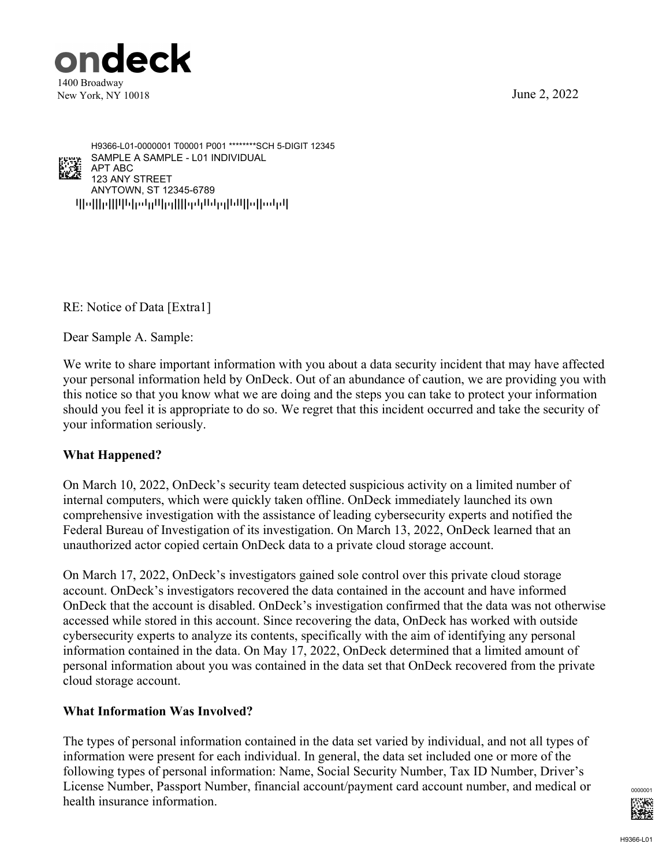June 2, 2022





qpoppqppppopppppppppppppppppppppppp ANYTOWN, ST 12345-6789 123 ANY STREET APT ABC SAMPLE A SAMPLE - L01 INDIVIDUAL H9366-L01-0000001 T00001 P001 \*\*\*\*\*\*\*\*SCH 5-DIGIT 12345

RE: Notice of Data [Extra1]

Dear Sample A. Sample:

We write to share important information with you about a data security incident that may have affected your personal information held by OnDeck. Out of an abundance of caution, we are providing you with this notice so that you know what we are doing and the steps you can take to protect your information should you feel it is appropriate to do so. We regret that this incident occurred and take the security of your information seriously.

# **What Happened?**

On March 10, 2022, OnDeck's security team detected suspicious activity on a limited number of internal computers, which were quickly taken offline. OnDeck immediately launched its own comprehensive investigation with the assistance of leading cybersecurity experts and notified the Federal Bureau of Investigation of its investigation. On March 13, 2022, OnDeck learned that an unauthorized actor copied certain OnDeck data to a private cloud storage account.

On March 17, 2022, OnDeck's investigators gained sole control over this private cloud storage account. OnDeck's investigators recovered the data contained in the account and have informed OnDeck that the account is disabled. OnDeck's investigation confirmed that the data was not otherwise accessed while stored in this account. Since recovering the data, OnDeck has worked with outside cybersecurity experts to analyze its contents, specifically with the aim of identifying any personal information contained in the data. On May 17, 2022, OnDeck determined that a limited amount of personal information about you was contained in the data set that OnDeck recovered from the private cloud storage account.

### **What Information Was Involved?**

The types of personal information contained in the data set varied by individual, and not all types of information were present for each individual. In general, the data set included one or more of the following types of personal information: Name, Social Security Number, Tax ID Number, Driver's License Number, Passport Number, financial account/payment card account number, and medical or health insurance information.

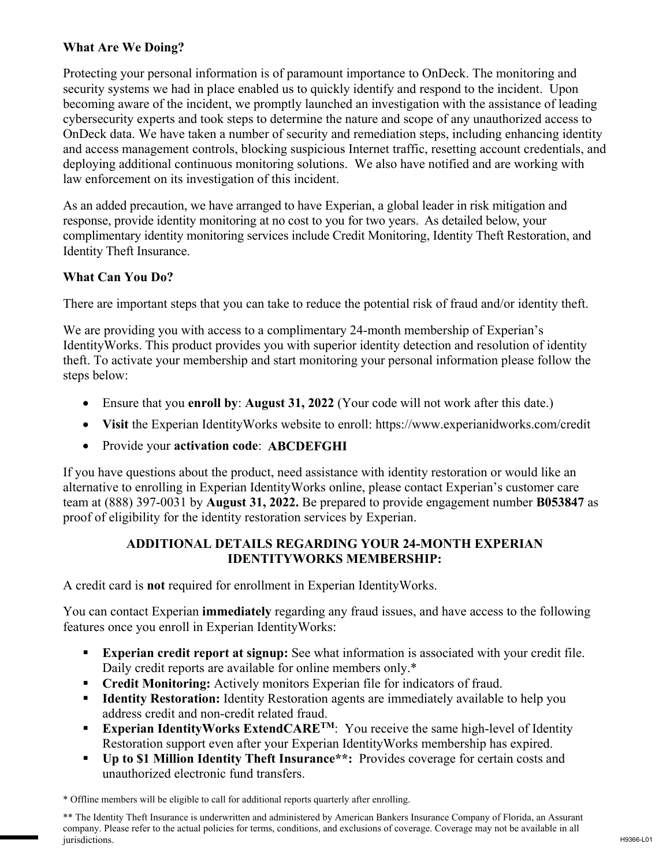## **What Are We Doing?**

Protecting your personal information is of paramount importance to OnDeck. The monitoring and security systems we had in place enabled us to quickly identify and respond to the incident. Upon becoming aware of the incident, we promptly launched an investigation with the assistance of leading cybersecurity experts and took steps to determine the nature and scope of any unauthorized access to OnDeck data. We have taken a number of security and remediation steps, including enhancing identity and access management controls, blocking suspicious Internet traffic, resetting account credentials, and deploying additional continuous monitoring solutions. We also have notified and are working with law enforcement on its investigation of this incident.

As an added precaution, we have arranged to have Experian, a global leader in risk mitigation and response, provide identity monitoring at no cost to you for two years. As detailed below, your complimentary identity monitoring services include Credit Monitoring, Identity Theft Restoration, and Identity Theft Insurance.

## **What Can You Do?**

There are important steps that you can take to reduce the potential risk of fraud and/or identity theft.

We are providing you with access to a complimentary 24-month membership of Experian's IdentityWorks. This product provides you with superior identity detection and resolution of identity theft. To activate your membership and start monitoring your personal information please follow the steps below:

- Ensure that you **enroll by**: **August 31, 2022** (Your code will not work after this date.)
- **Visit** the Experian IdentityWorks website to enroll: https://www.experianidworks.com/credit
- Provide your **activation code**: **ABCDEFGHI**

If you have questions about the product, need assistance with identity restoration or would like an alternative to enrolling in Experian IdentityWorks online, please contact Experian's customer care team at (888) 397-0031 by **August 31, 2022.** Be prepared to provide engagement number **B053847** as proof of eligibility for the identity restoration services by Experian.

### **ADDITIONAL DETAILS REGARDING YOUR 24-MONTH EXPERIAN IDENTITYWORKS MEMBERSHIP:**

A credit card is **not** required for enrollment in Experian IdentityWorks.

You can contact Experian **immediately** regarding any fraud issues, and have access to the following features once you enroll in Experian IdentityWorks:

- **Experian credit report at signup:** See what information is associated with your credit file. Daily credit reports are available for online members only.\*
- **Credit Monitoring:** Actively monitors Experian file for indicators of fraud.
- **Identity Restoration:** Identity Restoration agents are immediately available to help you address credit and non-credit related fraud.
- **Experian IdentityWorks ExtendCARE<sup>TM</sup>:** You receive the same high-level of Identity Restoration support even after your Experian IdentityWorks membership has expired.
- **Up to \$1 Million Identity Theft Insurance\*\*:** Provides coverage for certain costs and unauthorized electronic fund transfers.

\* Offline members will be eligible to call for additional reports quarterly after enrolling.

\*\* The Identity Theft Insurance is underwritten and administered by American Bankers Insurance Company of Florida, an Assurant company. Please refer to the actual policies for terms, conditions, and exclusions of coverage. Coverage may not be available in all jurisdictions.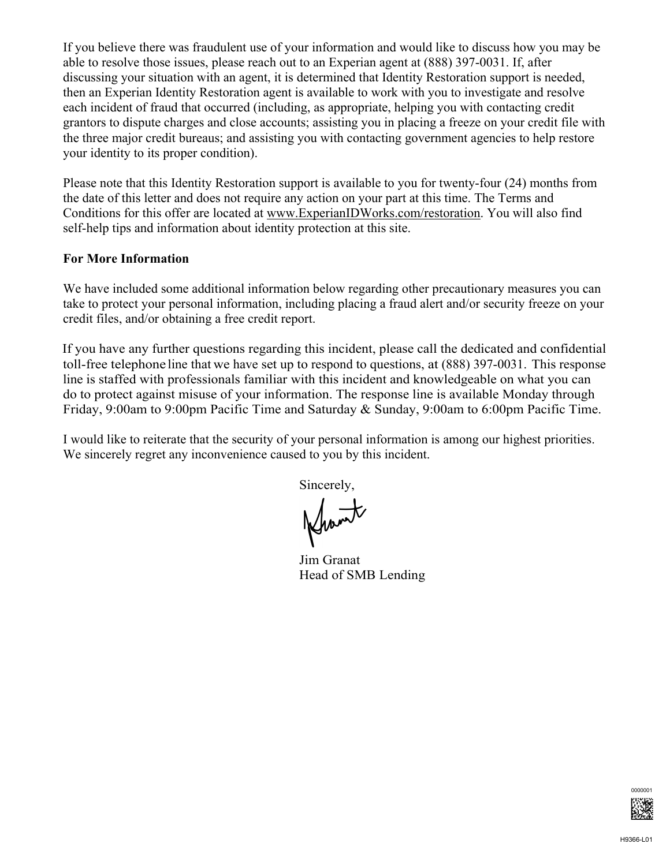If you believe there was fraudulent use of your information and would like to discuss how you may be able to resolve those issues, please reach out to an Experian agent at (888) 397-0031. If, after discussing your situation with an agent, it is determined that Identity Restoration support is needed, then an Experian Identity Restoration agent is available to work with you to investigate and resolve each incident of fraud that occurred (including, as appropriate, helping you with contacting credit grantors to dispute charges and close accounts; assisting you in placing a freeze on your credit file with the three major credit bureaus; and assisting you with contacting government agencies to help restore your identity to its proper condition).

Please note that this Identity Restoration support is available to you for twenty-four (24) months from the date of this letter and does not require any action on your part at this time. The Terms and Conditions for this offer are located at www.ExperianIDWorks.com/restoration. You will also find self-help tips and information about identity protection at this site.

#### **For More Information**

We have included some additional information below regarding other precautionary measures you can take to protect your personal information, including placing a fraud alert and/or security freeze on your credit files, and/or obtaining a free credit report.

If you have any further questions regarding this incident, please call the dedicated and confidential toll-free telephone line that we have set up to respond to questions, at (888) 397-0031. This response line is staffed with professionals familiar with this incident and knowledgeable on what you can do to protect against misuse of your information. The response line is available Monday through Friday, 9:00am to 9:00pm Pacific Time and Saturday & Sunday, 9:00am to 6:00pm Pacific Time.

I would like to reiterate that the security of your personal information is among our highest priorities. We sincerely regret any inconvenience caused to you by this incident.

Sincerely,

Jim Granat Head of SMB Lending

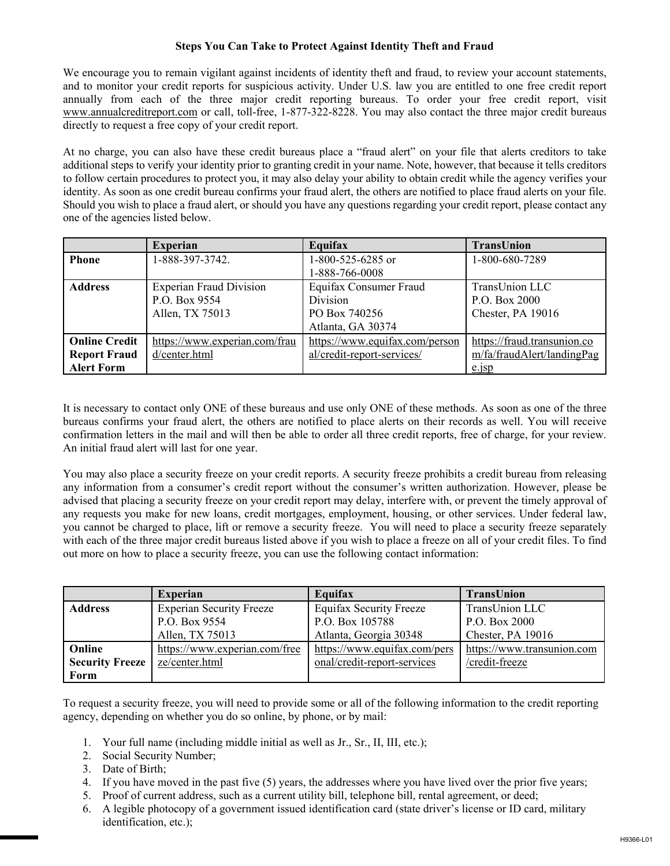#### **Steps You Can Take to Protect Against Identity Theft and Fraud**

We encourage you to remain vigilant against incidents of identity theft and fraud, to review your account statements, and to monitor your credit reports for suspicious activity. Under U.S. law you are entitled to one free credit report annually from each of the three major credit reporting bureaus. To order your free credit report, visit www.annualcreditreport.com or call, toll-free, 1-877-322-8228. You may also contact the three major credit bureaus directly to request a free copy of your credit report.

At no charge, you can also have these credit bureaus place a "fraud alert" on your file that alerts creditors to take additional steps to verify your identity prior to granting credit in your name. Note, however, that because it tells creditors to follow certain procedures to protect you, it may also delay your ability to obtain credit while the agency verifies your identity. As soon as one credit bureau confirms your fraud alert, the others are notified to place fraud alerts on your file. Should you wish to place a fraud alert, or should you have any questions regarding your credit report, please contact any one of the agencies listed below.

|                      | <b>Experian</b>                | Equifax                        | TransUnion                  |
|----------------------|--------------------------------|--------------------------------|-----------------------------|
| <b>Phone</b>         | 1-888-397-3742.                | 1-800-525-6285 or              | 1-800-680-7289              |
|                      |                                | 1-888-766-0008                 |                             |
| <b>Address</b>       | <b>Experian Fraud Division</b> | Equifax Consumer Fraud         | TransUnion LLC              |
|                      | P.O. Box 9554                  | Division                       | P.O. Box 2000               |
|                      | Allen, TX 75013                | PO Box 740256                  | Chester, PA 19016           |
|                      |                                | Atlanta, GA 30374              |                             |
| <b>Online Credit</b> | https://www.experian.com/frau  | https://www.equifax.com/person | https://fraud.transunion.co |
| <b>Report Fraud</b>  | d/center.html                  | al/credit-report-services/     | m/fa/fraudAlert/landingPag  |
| <b>Alert Form</b>    |                                |                                | $e$ . $1sp$                 |

It is necessary to contact only ONE of these bureaus and use only ONE of these methods. As soon as one of the three bureaus confirms your fraud alert, the others are notified to place alerts on their records as well. You will receive confirmation letters in the mail and will then be able to order all three credit reports, free of charge, for your review. An initial fraud alert will last for one year.

You may also place a security freeze on your credit reports. A security freeze prohibits a credit bureau from releasing any information from a consumer's credit report without the consumer's written authorization. However, please be advised that placing a security freeze on your credit report may delay, interfere with, or prevent the timely approval of any requests you make for new loans, credit mortgages, employment, housing, or other services. Under federal law, you cannot be charged to place, lift or remove a security freeze. You will need to place a security freeze separately with each of the three major credit bureaus listed above if you wish to place a freeze on all of your credit files. To find out more on how to place a security freeze, you can use the following contact information:

|                        | <b>Experian</b>                 | Equifax                        | <b>TransUnion</b>          |
|------------------------|---------------------------------|--------------------------------|----------------------------|
| <b>Address</b>         | <b>Experian Security Freeze</b> | <b>Equifax Security Freeze</b> | TransUnion LLC             |
|                        | P.O. Box 9554                   | P.O. Box 105788                | P.O. Box 2000              |
|                        | Allen, TX 75013                 | Atlanta, Georgia 30348         | Chester, PA 19016          |
| Online                 | https://www.experian.com/free   | https://www.equifax.com/pers   | https://www.transunion.com |
| <b>Security Freeze</b> | ze/center.html                  | onal/credit-report-services    | /credit-freeze             |
| Form                   |                                 |                                |                            |

To request a security freeze, you will need to provide some or all of the following information to the credit reporting agency, depending on whether you do so online, by phone, or by mail:

- 1. Your full name (including middle initial as well as Jr., Sr., II, III, etc.);
- 2. Social Security Number;
- 3. Date of Birth;
- 4. If you have moved in the past five (5) years, the addresses where you have lived over the prior five years;
- 5. Proof of current address, such as a current utility bill, telephone bill, rental agreement, or deed;
- 6. A legible photocopy of a government issued identification card (state driver's license or ID card, military identification, etc.);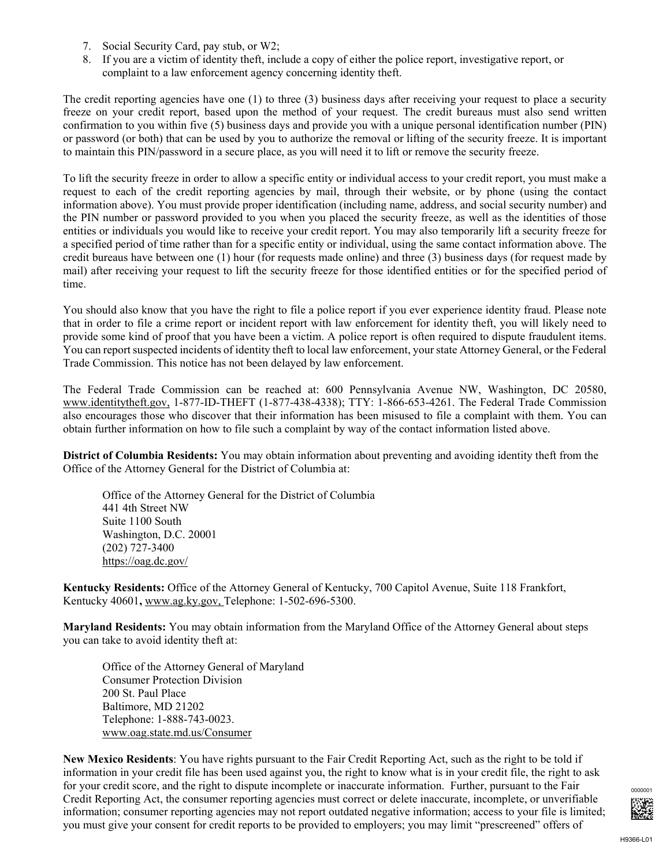- 7. Social Security Card, pay stub, or W2;
- 8. If you are a victim of identity theft, include a copy of either the police report, investigative report, or complaint to a law enforcement agency concerning identity theft.

The credit reporting agencies have one (1) to three (3) business days after receiving your request to place a security freeze on your credit report, based upon the method of your request. The credit bureaus must also send written confirmation to you within five (5) business days and provide you with a unique personal identification number (PIN) or password (or both) that can be used by you to authorize the removal or lifting of the security freeze. It is important to maintain this PIN/password in a secure place, as you will need it to lift or remove the security freeze.

To lift the security freeze in order to allow a specific entity or individual access to your credit report, you must make a request to each of the credit reporting agencies by mail, through their website, or by phone (using the contact information above). You must provide proper identification (including name, address, and social security number) and the PIN number or password provided to you when you placed the security freeze, as well as the identities of those entities or individuals you would like to receive your credit report. You may also temporarily lift a security freeze for a specified period of time rather than for a specific entity or individual, using the same contact information above. The credit bureaus have between one (1) hour (for requests made online) and three (3) business days (for request made by mail) after receiving your request to lift the security freeze for those identified entities or for the specified period of time.

You should also know that you have the right to file a police report if you ever experience identity fraud. Please note that in order to file a crime report or incident report with law enforcement for identity theft, you will likely need to provide some kind of proof that you have been a victim. A police report is often required to dispute fraudulent items. You can report suspected incidents of identity theft to local law enforcement, your state Attorney General, or the Federal Trade Commission. This notice has not been delayed by law enforcement.

The Federal Trade Commission can be reached at: 600 Pennsylvania Avenue NW, Washington, DC 20580, www.identitytheft.gov, 1-877-ID-THEFT (1-877-438-4338); TTY: 1-866-653-4261. The Federal Trade Commission also encourages those who discover that their information has been misused to file a complaint with them. You can obtain further information on how to file such a complaint by way of the contact information listed above.

**District of Columbia Residents:** You may obtain information about preventing and avoiding identity theft from the Office of the Attorney General for the District of Columbia at:

Office of the Attorney General for the District of Columbia 441 4th Street NW Suite 1100 South Washington, D.C. 20001 (202) 727-3400 https://oag.dc.gov/

**Kentucky Residents:** Office of the Attorney General of Kentucky, 700 Capitol Avenue, Suite 118 Frankfort, Kentucky 40601**,** www.ag.ky.gov, Telephone: 1-502-696-5300.

**Maryland Residents:** You may obtain information from the Maryland Office of the Attorney General about steps you can take to avoid identity theft at:

Office of the Attorney General of Maryland Consumer Protection Division 200 St. Paul Place Baltimore, MD 21202 Telephone: 1-888-743-0023. www.oag.state.md.us/Consumer

**New Mexico Residents**: You have rights pursuant to the Fair Credit Reporting Act, such as the right to be told if information in your credit file has been used against you, the right to know what is in your credit file, the right to ask for your credit score, and the right to dispute incomplete or inaccurate information. Further, pursuant to the Fair Credit Reporting Act, the consumer reporting agencies must correct or delete inaccurate, incomplete, or unverifiable information; consumer reporting agencies may not report outdated negative information; access to your file is limited; you must give your consent for credit reports to be provided to employers; you may limit "prescreened" offers of